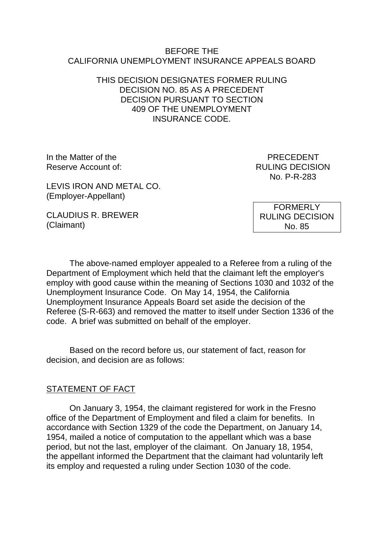#### BEFORE THE CALIFORNIA UNEMPLOYMENT INSURANCE APPEALS BOARD

#### THIS DECISION DESIGNATES FORMER RULING DECISION NO. 85 AS A PRECEDENT DECISION PURSUANT TO SECTION 409 OF THE UNEMPLOYMENT INSURANCE CODE.

In the Matter of the **PRECEDENT** Reserve Account of: The Country of the Country of the RULING DECISION

No. P-R-283

LEVIS IRON AND METAL CO. (Employer-Appellant)

CLAUDIUS R. BREWER (Claimant)

FORMERLY RULING DECISION No. 85

The above-named employer appealed to a Referee from a ruling of the Department of Employment which held that the claimant left the employer's employ with good cause within the meaning of Sections 1030 and 1032 of the Unemployment Insurance Code. On May 14, 1954, the California Unemployment Insurance Appeals Board set aside the decision of the Referee (S-R-663) and removed the matter to itself under Section 1336 of the code. A brief was submitted on behalf of the employer.

Based on the record before us, our statement of fact, reason for decision, and decision are as follows:

# STATEMENT OF FACT

On January 3, 1954, the claimant registered for work in the Fresno office of the Department of Employment and filed a claim for benefits. In accordance with Section 1329 of the code the Department, on January 14, 1954, mailed a notice of computation to the appellant which was a base period, but not the last, employer of the claimant. On January 18, 1954, the appellant informed the Department that the claimant had voluntarily left its employ and requested a ruling under Section 1030 of the code.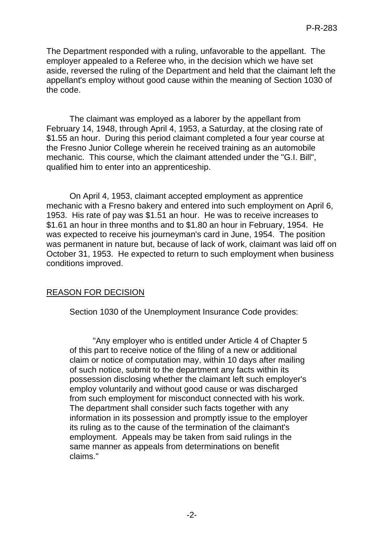The Department responded with a ruling, unfavorable to the appellant. The employer appealed to a Referee who, in the decision which we have set aside, reversed the ruling of the Department and held that the claimant left the appellant's employ without good cause within the meaning of Section 1030 of the code.

The claimant was employed as a laborer by the appellant from February 14, 1948, through April 4, 1953, a Saturday, at the closing rate of \$1.55 an hour. During this period claimant completed a four year course at the Fresno Junior College wherein he received training as an automobile mechanic. This course, which the claimant attended under the "G.I. Bill", qualified him to enter into an apprenticeship.

On April 4, 1953, claimant accepted employment as apprentice mechanic with a Fresno bakery and entered into such employment on April 6, 1953. His rate of pay was \$1.51 an hour. He was to receive increases to \$1.61 an hour in three months and to \$1.80 an hour in February, 1954. He was expected to receive his journeyman's card in June, 1954. The position was permanent in nature but, because of lack of work, claimant was laid off on October 31, 1953. He expected to return to such employment when business conditions improved.

# REASON FOR DECISION

Section 1030 of the Unemployment Insurance Code provides:

"Any employer who is entitled under Article 4 of Chapter 5 of this part to receive notice of the filing of a new or additional claim or notice of computation may, within 10 days after mailing of such notice, submit to the department any facts within its possession disclosing whether the claimant left such employer's employ voluntarily and without good cause or was discharged from such employment for misconduct connected with his work. The department shall consider such facts together with any information in its possession and promptly issue to the employer its ruling as to the cause of the termination of the claimant's employment. Appeals may be taken from said rulings in the same manner as appeals from determinations on benefit claims."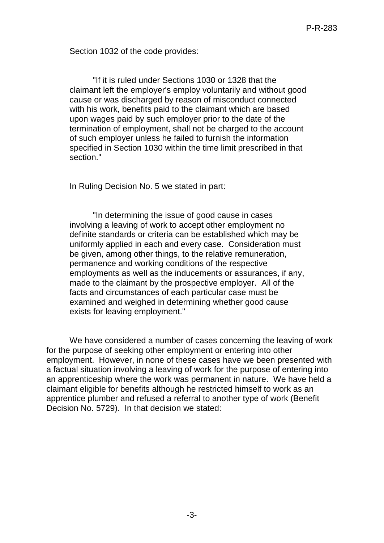Section 1032 of the code provides:

"If it is ruled under Sections 1030 or 1328 that the claimant left the employer's employ voluntarily and without good cause or was discharged by reason of misconduct connected with his work, benefits paid to the claimant which are based upon wages paid by such employer prior to the date of the termination of employment, shall not be charged to the account of such employer unless he failed to furnish the information specified in Section 1030 within the time limit prescribed in that section."

In Ruling Decision No. 5 we stated in part:

"In determining the issue of good cause in cases involving a leaving of work to accept other employment no definite standards or criteria can be established which may be uniformly applied in each and every case. Consideration must be given, among other things, to the relative remuneration, permanence and working conditions of the respective employments as well as the inducements or assurances, if any, made to the claimant by the prospective employer. All of the facts and circumstances of each particular case must be examined and weighed in determining whether good cause exists for leaving employment."

We have considered a number of cases concerning the leaving of work for the purpose of seeking other employment or entering into other employment. However, in none of these cases have we been presented with a factual situation involving a leaving of work for the purpose of entering into an apprenticeship where the work was permanent in nature. We have held a claimant eligible for benefits although he restricted himself to work as an apprentice plumber and refused a referral to another type of work (Benefit Decision No. 5729). In that decision we stated: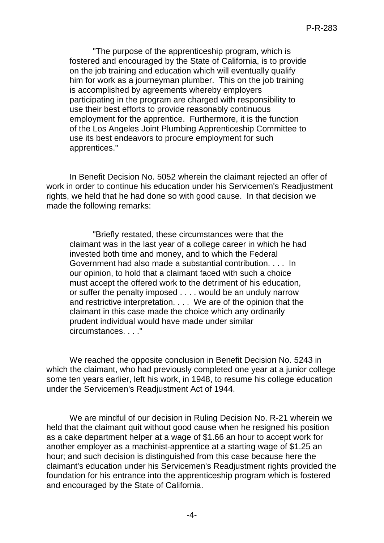"The purpose of the apprenticeship program, which is fostered and encouraged by the State of California, is to provide on the job training and education which will eventually qualify him for work as a journeyman plumber. This on the job training is accomplished by agreements whereby employers participating in the program are charged with responsibility to use their best efforts to provide reasonably continuous employment for the apprentice. Furthermore, it is the function of the Los Angeles Joint Plumbing Apprenticeship Committee to use its best endeavors to procure employment for such apprentices."

In Benefit Decision No. 5052 wherein the claimant rejected an offer of work in order to continue his education under his Servicemen's Readjustment rights, we held that he had done so with good cause. In that decision we made the following remarks:

"Briefly restated, these circumstances were that the claimant was in the last year of a college career in which he had invested both time and money, and to which the Federal Government had also made a substantial contribution. . . . In our opinion, to hold that a claimant faced with such a choice must accept the offered work to the detriment of his education, or suffer the penalty imposed . . . . would be an unduly narrow and restrictive interpretation. . . . We are of the opinion that the claimant in this case made the choice which any ordinarily prudent individual would have made under similar circumstances. . . ."

We reached the opposite conclusion in Benefit Decision No. 5243 in which the claimant, who had previously completed one year at a junior college some ten years earlier, left his work, in 1948, to resume his college education under the Servicemen's Readjustment Act of 1944.

We are mindful of our decision in Ruling Decision No. R-21 wherein we held that the claimant quit without good cause when he resigned his position as a cake department helper at a wage of \$1.66 an hour to accept work for another employer as a machinist-apprentice at a starting wage of \$1.25 an hour; and such decision is distinguished from this case because here the claimant's education under his Servicemen's Readjustment rights provided the foundation for his entrance into the apprenticeship program which is fostered and encouraged by the State of California.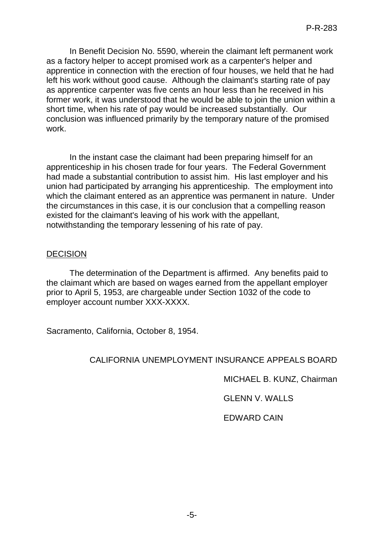In Benefit Decision No. 5590, wherein the claimant left permanent work as a factory helper to accept promised work as a carpenter's helper and apprentice in connection with the erection of four houses, we held that he had left his work without good cause. Although the claimant's starting rate of pay as apprentice carpenter was five cents an hour less than he received in his former work, it was understood that he would be able to join the union within a short time, when his rate of pay would be increased substantially. Our conclusion was influenced primarily by the temporary nature of the promised work.

In the instant case the claimant had been preparing himself for an apprenticeship in his chosen trade for four years. The Federal Government had made a substantial contribution to assist him. His last employer and his union had participated by arranging his apprenticeship. The employment into which the claimant entered as an apprentice was permanent in nature. Under the circumstances in this case, it is our conclusion that a compelling reason existed for the claimant's leaving of his work with the appellant, notwithstanding the temporary lessening of his rate of pay.

#### DECISION

The determination of the Department is affirmed. Any benefits paid to the claimant which are based on wages earned from the appellant employer prior to April 5, 1953, are chargeable under Section 1032 of the code to employer account number XXX-XXXX.

Sacramento, California, October 8, 1954.

# CALIFORNIA UNEMPLOYMENT INSURANCE APPEALS BOARD

MICHAEL B. KUNZ, Chairman

GLENN V. WALLS

EDWARD CAIN